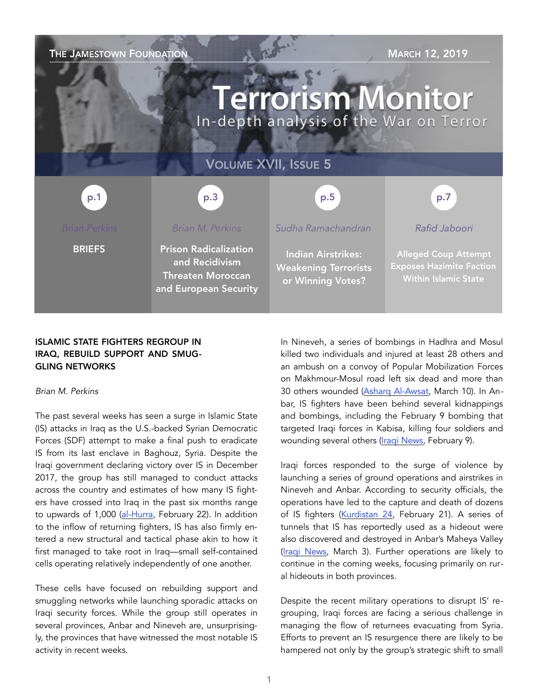

## ISLAMIC STATE FIGHTERS REGROUP IN IRAQ, REBUILD SUPPORT AND SMUG-GLING NETWORKS

#### *Brian M. Perkins*

The past several weeks has seen a surge in Islamic State (IS) attacks in Iraq as the U.S.-backed Syrian Democratic Forces (SDF) attempt to make a final push to eradicate IS from its last enclave in Baghouz, Syria. Despite the Iraqi government declaring victory over IS in December 2017, the group has still managed to conduct attacks across the country and estimates of how many IS fighters have crossed into Iraq in the past six months range to upwards of 1,000 [\(al-Hurra,](https://www.alhurra.com/a/%D8%AF%D8%A7%D8%B9%D8%B4-%D8%A7%D9%84%D8%B9%D8%B1%D8%A7%D9%82-%D8%A5%D8%B1%D9%87%D8%A7%D8%A8%D9%8A%D9%88%D9%86-%D8%AA%D8%B3%D9%84%D9%84-) February 22). In addition to the inflow of returning fighters, IS has also firmly entered a new structural and tactical phase akin to how it first managed to take root in Iraq—small self-contained cells operating relatively independently of one another.

These cells have focused on rebuilding support and smuggling networks while launching sporadic attacks on Iraqi security forces. While the group still operates in several provinces, Anbar and Nineveh are, unsurprisingly, the provinces that have witnessed the most notable IS activity in recent weeks.

In Nineveh, a series of bombings in Hadhra and Mosul killed two individuals and injured at least 28 others and an ambush on a convoy of Popular Mobilization Forces on Makhmour-Mosul road left six dead and more than 30 others wounded [\(Asharq Al-Awsat,](https://aawsat.com/english/home/article/1627346/bloody-bombings-rock-mosul-raise-fear-political-clashes) March 10). In Anbar, IS fighters have been behind several kidnappings and bombings, including the February 9 bombing that targeted Iraqi forces in Kabisa, killing four soldiers and wounding several others ([Iraqi News,](https://www.iraqinews.com/iraq-war/bomb-attack-kills-two-soldiers-in-weste) February 9).

Iraqi forces responded to the surge of violence by launching a series of ground operations and airstrikes in Nineveh and Anbar. According to security officials, the operations have led to the capture and death of dozens of IS fighters ([Kurdistan 24,](http://www.kurdistan24.net/en/news/d1831169-c610-4cd0-826f-5967235069bb) February 21). A series of tunnels that IS has reportedly used as a hideout were also discovered and destroyed in Anbar's Maheya Valley ([Iraqi News,](https://www.iraqinews.com/iraq-war/us-led-coalition-destroys-tunnel-for-isis-in-anbar/) March 3). Further operations are likely to continue in the coming weeks, focusing primarily on rural hideouts in both provinces.

Despite the recent military operations to disrupt IS' regrouping, Iraqi forces are facing a serious challenge in managing the flow of returnees evacuating from Syria. Efforts to prevent an IS resurgence there are likely to be hampered not only by the group's strategic shift to small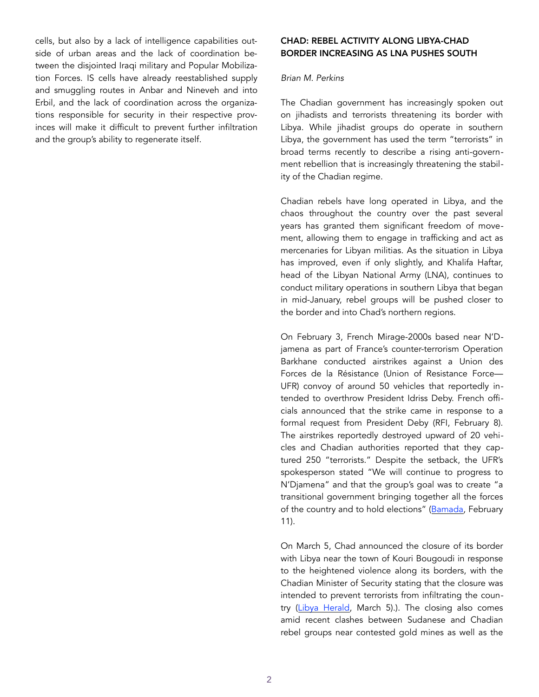cells, but also by a lack of intelligence capabilities outside of urban areas and the lack of coordination between the disjointed Iraqi military and Popular Mobilization Forces. IS cells have already reestablished supply and smuggling routes in Anbar and Nineveh and into Erbil, and the lack of coordination across the organizations responsible for security in their respective provinces will make it difficult to prevent further infiltration and the group's ability to regenerate itself.

## CHAD: REBEL ACTIVITY ALONG LIBYA-CHAD BORDER INCREASING AS LNA PUSHES SOUTH

### *Brian M. Perkins*

The Chadian government has increasingly spoken out on jihadists and terrorists threatening its border with Libya. While jihadist groups do operate in southern Libya, the government has used the term "terrorists" in broad terms recently to describe a rising anti-government rebellion that is increasingly threatening the stability of the Chadian regime.

Chadian rebels have long operated in Libya, and the chaos throughout the country over the past several years has granted them significant freedom of movement, allowing them to engage in trafficking and act as mercenaries for Libyan militias. As the situation in Libya has improved, even if only slightly, and Khalifa Haftar, head of the Libyan National Army (LNA), continues to conduct military operations in southern Libya that began in mid-January, rebel groups will be pushed closer to the border and into Chad's northern regions.

On February 3, French Mirage-2000s based near N'Djamena as part of France's counter-terrorism Operation Barkhane conducted airstrikes against a Union des Forces de la Résistance (Union of Resistance Force— UFR) convoy of around 50 vehicles that reportedly intended to overthrow President Idriss Deby. French officials announced that the strike came in response to a formal request from President Deby (RFI, February 8). The airstrikes reportedly destroyed upward of 20 vehicles and Chadian authorities reported that they captured 250 "terrorists." Despite the setback, the UFR's spokesperson stated "We will continue to progress to N'Djamena" and that the group's goal was to create "a transitional government bringing together all the forces of the country and to hold elections" [\(Bamada,](http://bamada.net/tchad-de-nouvelles-frappes-contre-lunion-des-forces-de-la-resistance-ufr) February 11).

On March 5, Chad announced the closure of its border with Libya near the town of Kouri Bougoudi in response to the heightened violence along its borders, with the Chadian Minister of Security stating that the closure was intended to prevent terrorists from infiltrating the country ([Libya Herald,](https://www.libyaherald.com/2019/03/05/chad-closes-its-border-with-libya/) March 5).). The closing also comes amid recent clashes between Sudanese and Chadian rebel groups near contested gold mines as well as the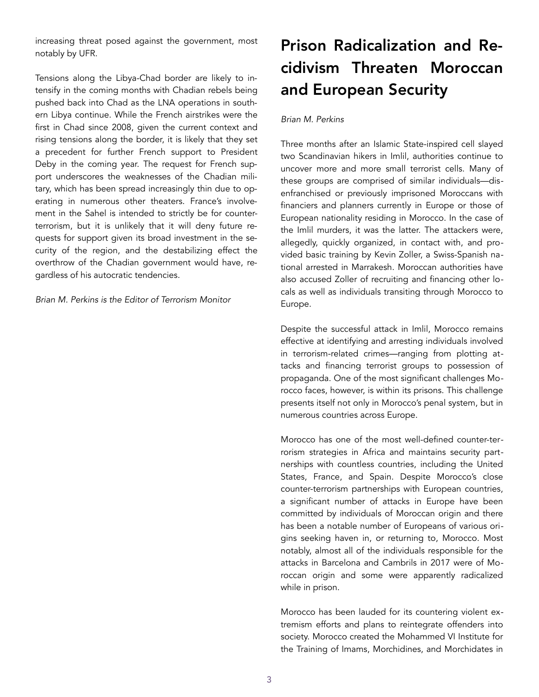increasing threat posed against the government, most notably by UFR.

Tensions along the Libya-Chad border are likely to intensify in the coming months with Chadian rebels being pushed back into Chad as the LNA operations in southern Libya continue. While the French airstrikes were the first in Chad since 2008, given the current context and rising tensions along the border, it is likely that they set a precedent for further French support to President Deby in the coming year. The request for French support underscores the weaknesses of the Chadian military, which has been spread increasingly thin due to operating in numerous other theaters. France's involvement in the Sahel is intended to strictly be for counterterrorism, but it is unlikely that it will deny future requests for support given its broad investment in the security of the region, and the destabilizing effect the overthrow of the Chadian government would have, regardless of his autocratic tendencies.

*Brian M. Perkins is the Editor of Terrorism Monitor* 

# Prison Radicalization and Recidivism Threaten Moroccan and European Security

## *Brian M. Perkins*

Three months after an Islamic State-inspired cell slayed two Scandinavian hikers in Imlil, authorities continue to uncover more and more small terrorist cells. Many of these groups are comprised of similar individuals—disenfranchised or previously imprisoned Moroccans with financiers and planners currently in Europe or those of European nationality residing in Morocco. In the case of the Imlil murders, it was the latter. The attackers were, allegedly, quickly organized, in contact with, and provided basic training by Kevin Zoller, a Swiss-Spanish national arrested in Marrakesh. Moroccan authorities have also accused Zoller of recruiting and financing other locals as well as individuals transiting through Morocco to Europe.

Despite the successful attack in Imlil, Morocco remains effective at identifying and arresting individuals involved in terrorism-related crimes—ranging from plotting attacks and financing terrorist groups to possession of propaganda. One of the most significant challenges Morocco faces, however, is within its prisons. This challenge presents itself not only in Morocco's penal system, but in numerous countries across Europe.

Morocco has one of the most well-defined counter-terrorism strategies in Africa and maintains security partnerships with countless countries, including the United States, France, and Spain. Despite Morocco's close counter-terrorism partnerships with European countries, a significant number of attacks in Europe have been committed by individuals of Moroccan origin and there has been a notable number of Europeans of various origins seeking haven in, or returning to, Morocco. Most notably, almost all of the individuals responsible for the attacks in Barcelona and Cambrils in 2017 were of Moroccan origin and some were apparently radicalized while in prison.

Morocco has been lauded for its countering violent extremism efforts and plans to reintegrate offenders into society. Morocco created the Mohammed VI Institute for the Training of Imams, Morchidines, and Morchidates in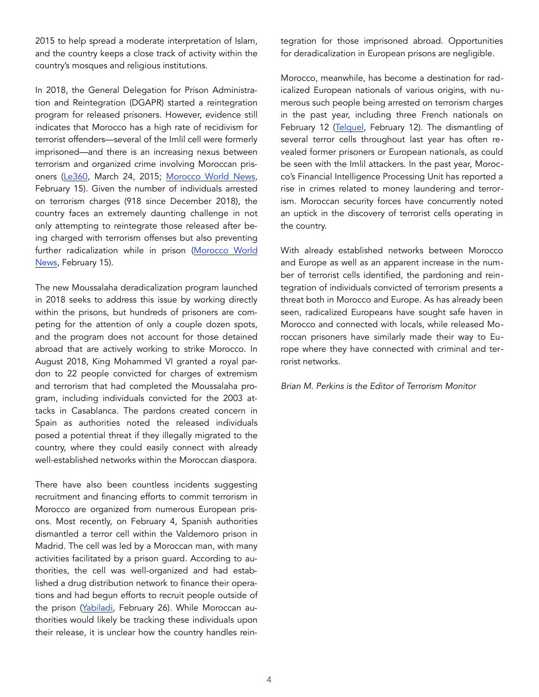2015 to help spread a moderate interpretation of Islam, and the country keeps a close track of activity within the country's mosques and religious institutions.

In 2018, the General Delegation for Prison Administration and Reintegration (DGAPR) started a reintegration program for released prisoners. However, evidence still indicates that Morocco has a high rate of recidivism for terrorist offenders—several of the Imlil cell were formerly imprisoned—and there is an increasing nexus between terrorism and organized crime involving Moroccan prisoners [\(Le360](http://fr.le360.ma/politique/terrorisme-les-chiffres-impressionnants-des-missions-du-bcij-35485), March 24, 2015; [Morocco World News,](https://www.moroccoworldnews.com/2019/02/265852/bcij-terror-safi) February 15). Given the number of individuals arrested on terrorism charges (918 since December 2018), the country faces an extremely daunting challenge in not only attempting to reintegrate those released after being charged with terrorism offenses but also preventing further radicalization while in prison [\(Morocco World](https://www.moroccoworldnews.com/2019/02/265852/bcij-terror-safi-western-morocco/)  [News,](https://www.moroccoworldnews.com/2019/02/265852/bcij-terror-safi-western-morocco/) February 15).

The new Moussalaha deradicalization program launched in 2018 seeks to address this issue by working directly within the prisons, but hundreds of prisoners are competing for the attention of only a couple dozen spots, and the program does not account for those detained abroad that are actively working to strike Morocco. In August 2018, King Mohammed VI granted a royal pardon to 22 people convicted for charges of extremism and terrorism that had completed the Moussalaha program, including individuals convicted for the 2003 attacks in Casablanca. The pardons created concern in Spain as authorities noted the released individuals posed a potential threat if they illegally migrated to the country, where they could easily connect with already well-established networks within the Moroccan diaspora.

There have also been countless incidents suggesting recruitment and financing efforts to commit terrorism in Morocco are organized from numerous European prisons. Most recently, on February 4, Spanish authorities dismantled a terror cell within the Valdemoro prison in Madrid. The cell was led by a Moroccan man, with many activities facilitated by a prison guard. According to authorities, the cell was well-organized and had established a drug distribution network to finance their operations and had begun efforts to recruit people outside of the prison [\(Yabiladi](https://en.yabiladi.com/articles/details/75123/spain-terrorist-cell-that-wanted.html), February 26). While Moroccan authorities would likely be tracking these individuals upon their release, it is unclear how the country handles reintegration for those imprisoned abroad. Opportunities for deradicalization in European prisons are negligible.

Morocco, meanwhile, has become a destination for radicalized European nationals of various origins, with numerous such people being arrested on terrorism charges in the past year, including three French nationals on February 12 [\(Telquel,](https://telquel.ma/2019/02/12/trois-francais-soupconnes-de-financement-du-terrorisme-arretes-par-la-bnpj-e) February 12). The dismantling of several terror cells throughout last year has often revealed former prisoners or European nationals, as could be seen with the Imlil attackers. In the past year, Morocco's Financial Intelligence Processing Unit has reported a rise in crimes related to money laundering and terrorism. Moroccan security forces have concurrently noted an uptick in the discovery of terrorist cells operating in the country.

With already established networks between Morocco and Europe as well as an apparent increase in the number of terrorist cells identified, the pardoning and reintegration of individuals convicted of terrorism presents a threat both in Morocco and Europe. As has already been seen, radicalized Europeans have sought safe haven in Morocco and connected with locals, while released Moroccan prisoners have similarly made their way to Europe where they have connected with criminal and terrorist networks.

*Brian M. Perkins is the Editor of Terrorism Monitor*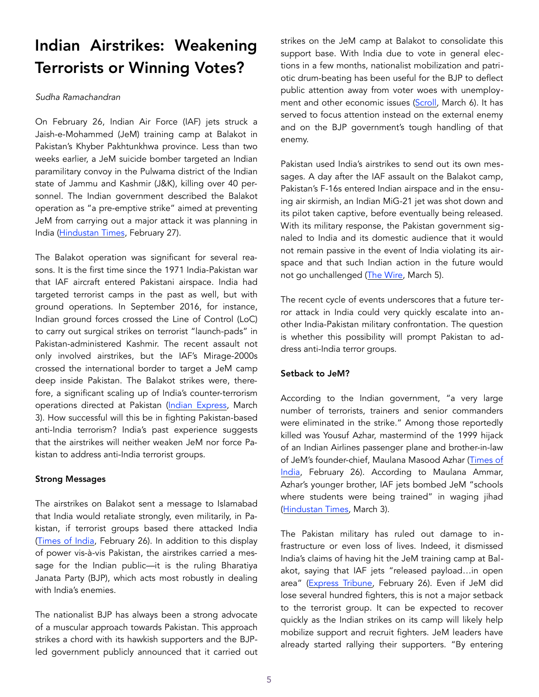# Indian Airstrikes: Weakening Terrorists or Winning Votes?

## *Sudha Ramachandran*

On February 26, Indian Air Force (IAF) jets struck a Jaish-e-Mohammed (JeM) training camp at Balakot in Pakistan's Khyber Pakhtunkhwa province. Less than two weeks earlier, a JeM suicide bomber targeted an Indian paramilitary convoy in the Pulwama district of the Indian state of Jammu and Kashmir (J&K), killing over 40 personnel. The Indian government described the Balakot operation as "a pre-emptive strike" aimed at preventing JeM from carrying out a major attack it was planning in India [\(Hindustan Times,](https://www.hindustantimes.com/india-news/balakot-iaf-strike-involved-over-200-hours-of-planning/story-wBx4dxsiWqbtztMnggfMiI.html) February 27).

The Balakot operation was significant for several reasons. It is the first time since the 1971 India-Pakistan war that IAF aircraft entered Pakistani airspace. India had targeted terrorist camps in the past as well, but with ground operations. In September 2016, for instance, Indian ground forces crossed the Line of Control (LoC) to carry out surgical strikes on terrorist "launch-pads" in Pakistan-administered Kashmir. The recent assault not only involved airstrikes, but the IAF's Mirage-2000s crossed the international border to target a JeM camp deep inside Pakistan. The Balakot strikes were, therefore, a significant scaling up of India's counter-terrorism operations directed at Pakistan [\(Indian Express,](https://indianexpress.com/article/india/balakot-air-s) March 3). How successful will this be in fighting Pakistan-based anti-India terrorism? India's past experience suggests that the airstrikes will neither weaken JeM nor force Pakistan to address anti-India terrorist groups.

## Strong Messages

The airstrikes on Balakot sent a message to Islamabad that India would retaliate strongly, even militarily, in Pakistan, if terrorist groups based there attacked India ([Times of India](https://timesofindia.indiatimes.com/india/iaf-air-strikes-in-balakot-indian-message-aimed-at-pakistan-military-intelligence-complex/articleshow/68174885.cms), February 26). In addition to this display of power vis-à-vis Pakistan, the airstrikes carried a message for the Indian public—it is the ruling Bharatiya Janata Party (BJP), which acts most robustly in dealing with India's enemies.

The nationalist BJP has always been a strong advocate of a muscular approach towards Pakistan. This approach strikes a chord with its hawkish supporters and the BJPled government publicly announced that it carried out strikes on the JeM camp at Balakot to consolidate this support base. With India due to vote in general elections in a few months, nationalist mobilization and patriotic drum-beating has been useful for the BJP to deflect public attention away from voter woes with unemploy-ment and other economic issues ([Scroll,](https://scroll.in/article/915392/as-bjp-plays-nationalist-narrative-on-a-loop-opposition-targets-it-for-unemployment-farm-distress) March 6). It has served to focus attention instead on the external enemy and on the BJP government's tough handling of that enemy.

Pakistan used India's airstrikes to send out its own messages. A day after the IAF assault on the Balakot camp, Pakistan's F-16s entered Indian airspace and in the ensuing air skirmish, an Indian MiG-21 jet was shot down and its pilot taken captive, before eventually being released. With its military response, the Pakistan government signaled to India and its domestic audience that it would not remain passive in the event of India violating its airspace and that such Indian action in the future would not go unchallenged [\(The Wire,](https://thewire.in/security/four-reasons-india-has-little-reason-to-cheer-the-balakot-airstrike-and-its-aftermath) March 5).

The recent cycle of events underscores that a future terror attack in India could very quickly escalate into another India-Pakistan military confrontation. The question is whether this possibility will prompt Pakistan to address anti-India terror groups.

## Setback to JeM?

According to the Indian government, "a very large number of terrorists, trainers and senior commanders were eliminated in the strike." Among those reportedly killed was Yousuf Azhar, mastermind of the 1999 hijack of an Indian Airlines passenger plane and brother-in-law of JeM's founder-chief, Maulana Masood Azhar ([Times of](https://timesofin)  [India,](https://timesofin) February 26). According to Maulana Ammar, Azhar's younger brother, IAF jets bombed JeM "schools where students were being trained" in waging jihad ([Hindustan Times,](https://www.hindustantimes.com/india-news/in-message-to-cadre-jaish-chief-mas) March 3).

The Pakistan military has ruled out damage to infrastructure or even loss of lives. Indeed, it dismissed India's claims of having hit the JeM training camp at Balakot, saying that IAF jets "released payload…in open area" ([Express Tribune,](https://tribune.com.pk/story/1918363/1-indian-warplanes-violate-loc-drop-payload-near-balakot/) February 26). Even if JeM did lose several hundred fighters, this is not a major setback to the terrorist group. It can be expected to recover quickly as the Indian strikes on its camp will likely help mobilize support and recruit fighters. JeM leaders have already started rallying their supporters. "By entering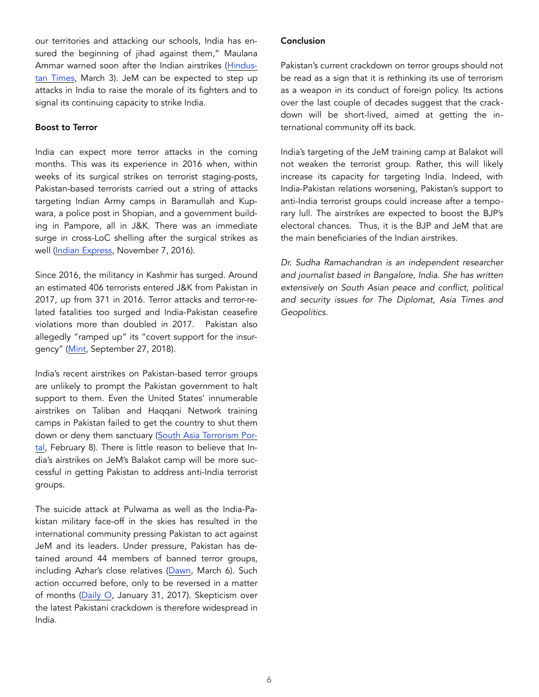our territories and attacking our schools, India has ensured the beginning of jihad against them," Maulana Ammar warned soon after the Indian airstrikes [\(Hindus](https://www.hindustantimes.com/india-news/in-message-to-cadre-jaish-chief-masood-azhar-s-brother-confirms-balakot-camp-strike/story-1d5tyfPJQRcBotjKpc5InJ.h)[tan Times,](https://www.hindustantimes.com/india-news/in-message-to-cadre-jaish-chief-masood-azhar-s-brother-confirms-balakot-camp-strike/story-1d5tyfPJQRcBotjKpc5InJ.h) March 3). JeM can be expected to step up attacks in India to raise the morale of its fighters and to signal its continuing capacity to strike India.

### Boost to Terror

India can expect more terror attacks in the coming months. This was its experience in 2016 when, within weeks of its surgical strikes on terrorist staging-posts, Pakistan-based terrorists carried out a string of attacks targeting Indian Army camps in Baramullah and Kupwara, a police post in Shopian, and a government building in Pampore, all in J&K. There was an immediate surge in cross-LoC shelling after the surgical strikes as well ([Indian Express](https://indianexpress.com/article/india/india-news-india/attacks-in-kashmir-since-uri-terror-ceasefire-violations-pakistan-3074717/), November 7, 2016).

Since 2016, the militancy in Kashmir has surged. Around an estimated 406 terrorists entered J&K from Pakistan in 2017, up from 371 in 2016. Terror attacks and terror-related fatalities too surged and India-Pakistan ceasefire violations more than doubled in 2017. Pakistan also allegedly "ramped up" its "covert support for the insurgency" (Mint, September 27, 2018).

India's recent airstrikes on Pakistan-based terror groups are unlikely to prompt the Pakistan government to halt support to them. Even the United States' innumerable airstrikes on Taliban and Haqqani Network training camps in Pakistan failed to get the country to shut them down or deny them sanctuary [\(South Asia Terrorism Por](https://www.satp.org/second-sight-volume-)[tal,](https://www.satp.org/second-sight-volume-) February 8). There is little reason to believe that India's airstrikes on JeM's Balakot camp will be more successful in getting Pakistan to address anti-India terrorist groups.

The suicide attack at Pulwama as well as the India-Pakistan military face-off in the skies has resulted in the international community pressing Pakistan to act against JeM and its leaders. Under pressure, Pakistan has detained around 44 members of banned terror groups, including Azhar's close relatives [\(Dawn,](https://www.dawn.com/news/1467888) March 6). Such action occurred before, only to be reversed in a matter of months [\(Daily O,](https://www.dailyo.in/politics/hafiz-saeed-pakistan-te) January 31, 2017). Skepticism over the latest Pakistani crackdown is therefore widespread in India.

### Conclusion

Pakistan's current crackdown on terror groups should not be read as a sign that it is rethinking its use of terrorism as a weapon in its conduct of foreign policy. Its actions over the last couple of decades suggest that the crackdown will be short-lived, aimed at getting the international community off its back.

India's targeting of the JeM training camp at Balakot will not weaken the terrorist group. Rather, this will likely increase its capacity for targeting India. Indeed, with India-Pakistan relations worsening, Pakistan's support to anti-India terrorist groups could increase after a temporary lull. The airstrikes are expected to boost the BJP's electoral chances. Thus, it is the BJP and JeM that are the main beneficiaries of the Indian airstrikes.

*Dr. Sudha Ramachandran is an independent researcher and journalist based in Bangalore, India. She has written extensively on South Asian peace and conflict, political and security issues for The Diplomat, Asia Times and Geopolitics.*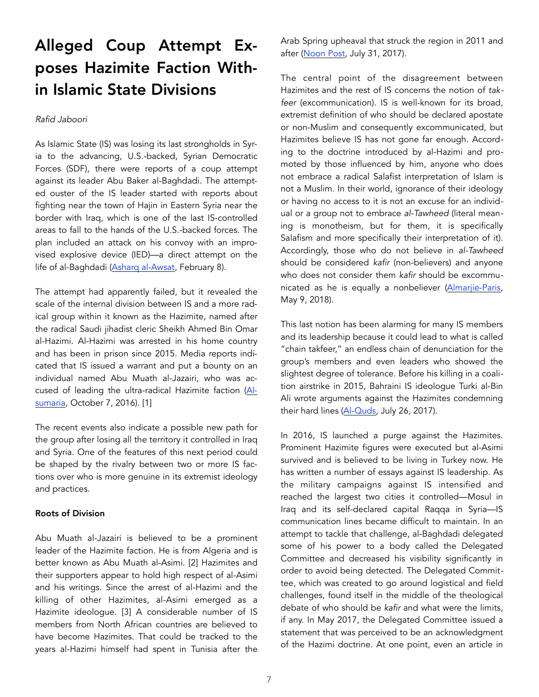# Alleged Coup Attempt Exposes Hazimite Faction Within Islamic State Divisions

### *Rafid Jaboori*

As Islamic State (IS) was losing its last strongholds in Syria to the advancing, U.S.-backed, Syrian Democratic Forces (SDF), there were reports of a coup attempt against its leader Abu Baker al-Baghdadi. The attempted ouster of the IS leader started with reports about fighting near the town of Hajin in Eastern Syria near the border with Iraq, which is one of the last IS-controlled areas to fall to the hands of the U.S.-backed forces. The plan included an attack on his convoy with an improvised explosive device (IED)—a direct attempt on the life of al-Baghdadi (Asharg al-Awsat, February 8).

The attempt had apparently failed, but it revealed the scale of the internal division between IS and a more radical group within it known as the Hazimite, named after the radical Saudi jihadist cleric Sheikh Ahmed Bin Omar al-Hazimi. Al-Hazimi was arrested in his home country and has been in prison since 2015. Media reports indicated that IS issued a warrant and put a bounty on an individual named Abu Muath al-Jazairi, who was accused of leading the ultra-radical Hazimite faction [\(Al](https://www.alsumaria.tv/news/181897/%D8%A8%D8%A7%D9%84%D9)[sumaria](https://www.alsumaria.tv/news/181897/%D8%A8%D8%A7%D9%84%D9), October 7, 2016). [1]

The recent events also indicate a possible new path for the group after losing all the territory it controlled in Iraq and Syria. One of the features of this next period could be shaped by the rivalry between two or more IS factions over who is more genuine in its extremist ideology and practices.

#### Roots of Division

Abu Muath al-Jazairi is believed to be a prominent leader of the Hazimite faction. He is from Algeria and is better known as Abu Muath al-Asimi. [2] Hazimites and their supporters appear to hold high respect of al-Asimi and his writings. Since the arrest of al-Hazimi and the killing of other Hazimites, al-Asimi emerged as a Hazimite ideologue. [3] A considerable number of IS members from North African countries are believed to have become Hazimites. That could be tracked to the years al-Hazimi himself had spent in Tunisia after the Arab Spring upheaval that struck the region in 2011 and after ([Noon Post,](https://www.noonpost.com/content/19129) July 31, 2017).

The central point of the disagreement between Hazimites and the rest of IS concerns the notion of *takfeer* (excommunication). IS is well-known for its broad, extremist definition of who should be declared apostate or non-Muslim and consequently excommunicated, but Hazimites believe IS has not gone far enough. According to the doctrine introduced by al-Hazimi and promoted by those influenced by him, anyone who does not embrace a radical Salafist interpretation of Islam is not a Muslim. In their world, ignorance of their ideology or having no access to it is not an excuse for an individual or a group not to embrace *al-Tawheed* (literal meaning is monotheism, but for them, it is specifically Salafism and more specifically their interpretation of it). Accordingly, those who do not believe in *al-Tawheed* should be considered *kafir* (non-believers) and anyone who does not consider them *kafir* should be excommunicated as he is equally a nonbeliever (Almarjie-Paris, May 9, 2018).

This last notion has been alarming for many IS members and its leadership because it could lead to what is called "chain takfeer," an endless chain of denunciation for the group's members and even leaders who showed the slightest degree of tolerance. Before his killing in a coalition airstrike in 2015, Bahraini IS ideologue Turki al-Bin Ali wrote arguments against the Hazimites condemning their hard lines ([Al-Quds](https://www.alquds.co.uk/%EF%BB%BF%D8%AA%D9%8A%D8%A7%D8%B1-%D9%85%D8%AA%D8%B4%D8%AF%D8%AF-%D8%AF%D8%A7%D8%AE%D9%84-%D8%AA%D9%86%D8%B8%D9%8A%D9%85-%D8%A7%D9%84%D8%AF%D9%88%D9%84%D8%A9-%D8%A7%D9%84%D8%A5%D8%B3%D9%84%D8%A7/), July 26, 2017).

In 2016, IS launched a purge against the Hazimites. Prominent Hazimite figures were executed but al-Asimi survived and is believed to be living in Turkey now. He has written a number of essays against IS leadership. As the military campaigns against IS intensified and reached the largest two cities it controlled—Mosul in Iraq and its self-declared capital Raqqa in Syria—IS communication lines became difficult to maintain. In an attempt to tackle that challenge, al-Baghdadi delegated some of his power to a body called the Delegated Committee and decreased his visibility significantly in order to avoid being detected. The Delegated Committee, which was created to go around logistical and field challenges, found itself in the middle of the theological debate of who should be *kafir* and what were the limits, if any. In May 2017, the Delegated Committee issued a statement that was perceived to be an acknowledgment of the Hazimi doctrine. At one point, even an article in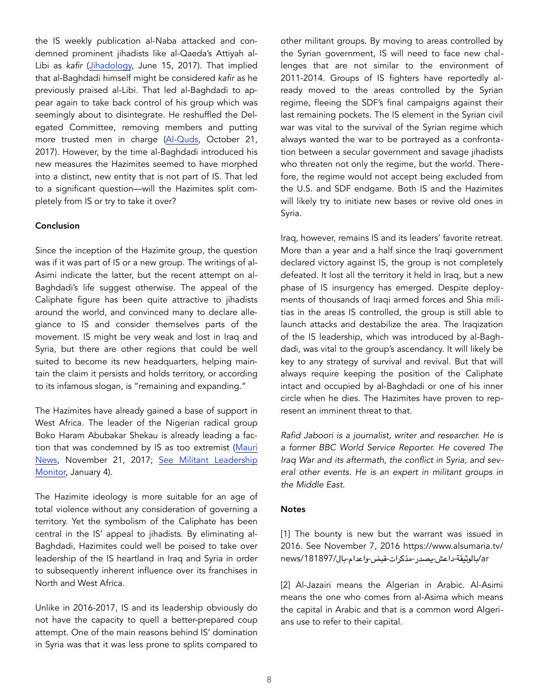the IS weekly publication al-Naba attacked and condemned prominent jihadists like al-Qaeda's Attiyah al-Libi as *kafir* [\(Jihadology,](https://jihadology.net/2017/06/15/new-issue-of-the-islamic-states-newsletter-al-naba-85/) June 15, 2017). That implied that al-Baghdadi himself might be considered *kafir* as he previously praised al-Libi. That led al-Baghdadi to appear again to take back control of his group which was seemingly about to disintegrate. He reshuffled the Delegated Committee, removing members and putting more trusted men in charge [\(Al-Quds](https://www.alquds.co.uk/%EF%BB%BF%D8%AA%D9%8A%D8%A7%D8%B1-%D9%85%D8%AA%D8%B4%D8%AF%D8%AF-%D8%AF%D8%A7%D8%AE%D9%84-%D8%AA%D9%86%D8%B8%D9%8A%D9%85-%D8%A7%D9%84%D8%AF%D9%88%D9%84%D8%A9-%D8%A7%D9%84%D8%A5%D8%B3%D9%84%D8%A7/), October 21, 2017). However, by the time al-Baghdadi introduced his new measures the Hazimites seemed to have morphed into a distinct, new entity that is not part of IS. That led to a significant question—will the Hazimites split completely from IS or try to take it over?

### Conclusion

Since the inception of the Hazimite group, the question was if it was part of IS or a new group. The writings of al-Asimi indicate the latter, but the recent attempt on al-Baghdadi's life suggest otherwise. The appeal of the Caliphate figure has been quite attractive to jihadists around the world, and convinced many to declare allegiance to IS and consider themselves parts of the movement. IS might be very weak and lost in Iraq and Syria, but there are other regions that could be well suited to become its new headquarters, helping maintain the claim it persists and holds territory, or according to its infamous slogan, is "remaining and expanding."

The Hazimites have already gained a base of support in West Africa. The leader of the Nigerian radical group Boko Haram Abubakar Shekau is already leading a faction that was condemned by IS as too extremist [\(Mauri](https://maurinews.info/opinions/13564/)  [News,](https://maurinews.info/opinions/13564/) November 21, 2017; See Militant Leadership [Monitor,](https://jamestown.org/brief/al-barnawi-vs-shekau-jihadist-rivalries-in-nigeria/) January 4).

The Hazimite ideology is more suitable for an age of total violence without any consideration of governing a territory. Yet the symbolism of the Caliphate has been central in the IS' appeal to jihadists. By eliminating al-Baghdadi, Hazimites could well be poised to take over leadership of the IS heartland in Iraq and Syria in order to subsequently inherent influence over its franchises in North and West Africa.

Unlike in 2016-2017, IS and its leadership obviously do not have the capacity to quell a better-prepared coup attempt. One of the main reasons behind IS' domination in Syria was that it was less prone to splits compared to other militant groups. By moving to areas controlled by the Syrian government, IS will need to face new challenges that are not similar to the environment of 2011-2014. Groups of IS fighters have reportedly already moved to the areas controlled by the Syrian regime, fleeing the SDF's final campaigns against their last remaining pockets. The IS element in the Syrian civil war was vital to the survival of the Syrian regime which always wanted the war to be portrayed as a confrontation between a secular government and savage jihadists who threaten not only the regime, but the world. Therefore, the regime would not accept being excluded from the U.S. and SDF endgame. Both IS and the Hazimites will likely try to initiate new bases or revive old ones in Syria.

Iraq, however, remains IS and its leaders' favorite retreat. More than a year and a half since the Iraqi government declared victory against IS, the group is not completely defeated. It lost all the territory it held in Iraq, but a new phase of IS insurgency has emerged. Despite deployments of thousands of Iraqi armed forces and Shia militias in the areas IS controlled, the group is still able to launch attacks and destabilize the area. The Iraqization of the IS leadership, which was introduced by al-Baghdadi, was vital to the group's ascendancy. It will likely be key to any strategy of survival and revival. But that will always require keeping the position of the Caliphate intact and occupied by al-Baghdadi or one of his inner circle when he dies. The Hazimites have proven to represent an imminent threat to that.

*Rafid Jaboori is a journalist, writer and researcher. He is a former BBC World Service Reporter. He covered The Iraq War and its aftermath, the conflict in Syria, and several other events. He is an expert in militant groups in the Middle East.* 

#### **Notes**

[1] The bounty is new but the warrant was issued in 2016. See November 7, 2016 https://www.alsumaria.tv/ ar/بالوثيقة-داعش-يصدر-مذكرات-قبض-واعدام-بال/181897/news

[2] Al-Jazairi means the Algerian in Arabic. Al-Asimi means the one who comes from al-Asima which means the capital in Arabic and that is a common word Algerians use to refer to their capital.